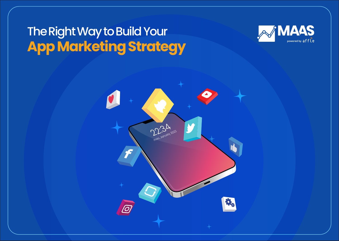# The Right Way to Build Your **App Marketing Strategy**



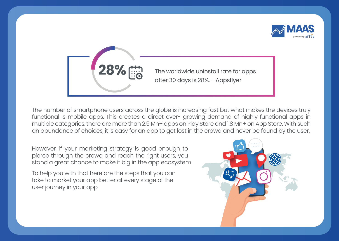

The worldwide uninstall rate for apps after 30 days is 28%. - Appsflyer **28%**

The number of smartphone users across the globe is increasing fast but what makes the devices truly functional is mobile apps. This creates a direct ever- growing demand of highly functional apps in multiple categories. there are more than 2.5 Mn+ apps on Play Store and 1.8 Mn+ on App Store. With such an abundance of choices, it is easy for an app to get lost in the crowd and never be found by the user.

However, if your marketing strategy is good enough to pierce through the crowd and reach the right users, you stand a great chance to make it big in the app ecosystem

To help you with that here are the steps that you can take to market your app better at every stage of the user journey in your app

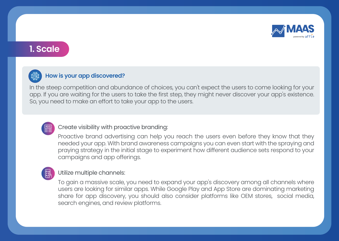

### **1. Scale**



#### How is your app discovered?

In the steep competition and abundance of choices, you can't expect the users to come looking for your app. If you are waiting for the users to take the first step, they might never discover your app's existence. So, you need to make an effort to take your app to the users.



#### Create visibility with proactive branding:

Proactive brand advertising can help you reach the users even before they know that they needed your app. With brand awareness campaigns you can even start with the spraying and praying strategy in the initial stage to experiment how different audience sets respond to your campaigns and app offerings.

#### Utilize multiple channels:

To gain a massive scale, you need to expand your app's discovery among all channels where users are looking for similar apps. While Google Play and App Store are dominating marketing share for app discovery, you should also consider platforms like OEM stores, social media, search engines, and review platforms.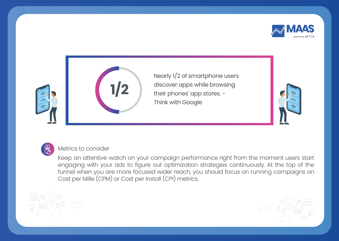



Nearly 1/2 of smartphone users discover apps while browsing their phones' app stores. - Think with Google





#### Metrics to consider

Keep an attentive watch on your campaign performance right from the moment users start engaging with your ads to figure out optimization strategies continuously. At the top of the funnel when you are more focused wider reach, you should focus on running campaigns on Cost per Mille (CPM) or Cost per Install (CPI) metrics.



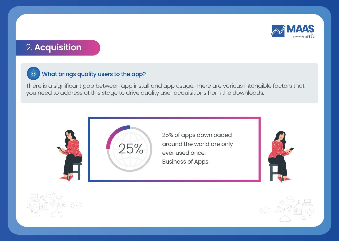

### 2. **Acquisition**



### $\overline{\mathcal{P}}$  What brings quality users to the app?

There is a significant gap between app install and app usage. There are various intangible factors that you need to address at this stage to drive quality user acquisitions from the downloads.





25% of apps downloaded around the world are only ever used once. Business of Apps





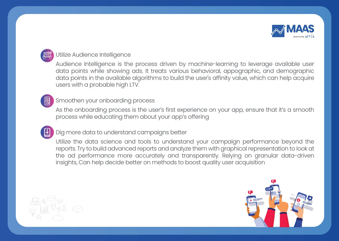

#### Utilize Audience Intelligence

Audience Intelligence is the process driven by machine-learning to leverage available user data points while showing ads. It treats various behavioral, appographic, and demographic data points in the available algorithms to build the user's affinity value, which can help acquire users with a probable high LTV.

#### Smoothen your onboarding process

As the onboarding process is the user's first experience on your app, ensure that it's a smooth process while educating them about your app's offering

#### Dig more data to understand campaigns better

Utilize the data science and tools to understand your campaign performance beyond the reports. Try to build advanced reports and analyze them with graphical representation to look at the ad performance more accurately and transparently. Relying on granular data-driven insights, Can help decide better on methods to boost quality user acquisition



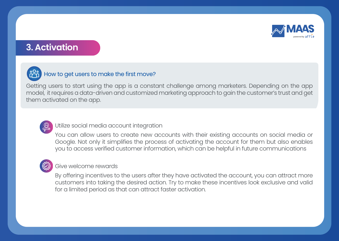

### **3. Activation**



#### How to get users to make the first move?

Getting users to start using the app is a constant challenge among marketers. Depending on the app model, it requires a data-driven and customized marketing approach to gain the customer's trust and get them activated on the app.



#### Utilize social media account integration

You can allow users to create new accounts with their existing accounts on social media or Google. Not only it simplifies the process of activating the account for them but also enables you to access verified customer information, which can be helpful in future communications

#### Give welcome rewards

By offering incentives to the users after they have activated the account, you can attract more customers into taking the desired action. Try to make these incentives look exclusive and valid for a limited period as that can attract faster activation.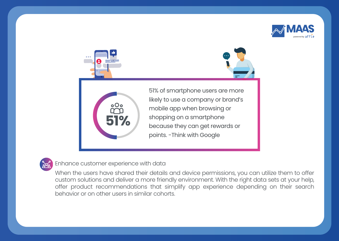







51% of smartphone users are more likely to use a company or brand's mobile app when browsing or shopping on a smartphone because they can get rewards or points. -Think with Google



Enhance customer experience with data

When the users have shared their details and device permissions, you can utilize them to offer custom solutions and deliver a more friendly environment. With the right data sets at your help, offer product recommendations that simplify app experience depending on their search behavior or on other users in similar cohorts.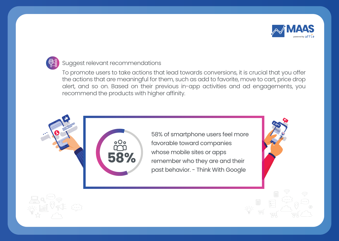

#### Suggest relevant recommendations

To promote users to take actions that lead towards conversions, it is crucial that you offer the actions that are meaningful for them, such as add to favorite, move to cart, price drop alert, and so on. Based on their previous in-app activities and ad engagements, you recommend the products with higher affinity.



58% of smartphone users feel more favorable toward companies whose mobile sites or apps remember who they are and their past behavior. - Think With Google

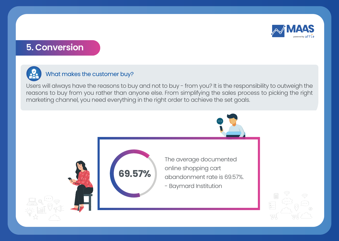

### **5. Conversion**



#### What makes the customer buy?

Users will always have the reasons to buy and not to buy - from you? It is the responsibility to outweigh the reasons to buy from you rather than anyone else. From simplifying the sales process to picking the right marketing channel, you need everything in the right order to achieve the set goals.

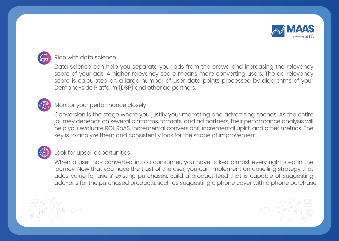

#### Ride with data science

Data science can help you separate your ads from the crowd and increasing the relevancy score of your ads. A higher relevancy score means more converting users. The ad relevancy score is calculated on a large number of user data points processed by algorithms of your Demand-side Platform (DSP) and other ad partners.



#### Monitor your performance closely

Conversion is the stage where you justify your marketing and advertising spends. As the entire journey depends on several platforms, formats, and ad partners, their performance analysis will help you evaluate ROI, RoAS, incremental conversions, incremental uplift, and other metrics. The key is to analyze them and consistently look for the scope of improvement.



#### Look for upsell opportunities

When a user has converted into a consumer, you have ticked almost every right step in the journey. Now that you have the trust of the user, you can implement an upselling strategy that adds value for users' existing purchases. Build a product feed that is capable of suggesting add-ons for the purchased products, such as suggesting a phone cover with a phone purchase.



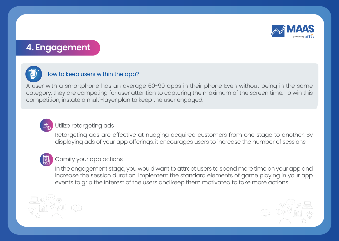

### **4. Engagement**



#### How to keep users within the app?

A user with a smartphone has an average 60-90 apps in their phone Even without being in the same category, they are competing for user attention to capturing the maximum of the screen time. To win this competition, instate a multi-layer plan to keep the user engaged.



#### Utilize retargeting ads

Retargeting ads are effective at nudging acquired customers from one stage to another. By displaying ads of your app offerings, it encourages users to increase the number of sessions



#### Gamify your app actions

In the engagement stage, you would want to attract users to spend more time on your app and increase the session duration. Implement the standard elements of game playing in your app events to grip the interest of the users and keep them motivated to take more actions.



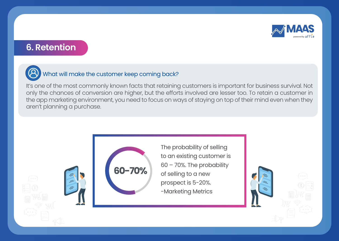

### **6. Retention**



### What will make the customer keep coming back?

It's one of the most commonly known facts that retaining customers is important for business survival. Not only the chances of conversion are higher, but the efforts involved are lesser too. To retain a customer in the app marketing environment, you need to focus on ways of staying on top of their mind even when they aren't planning a purchase.



The probability of selling to an existing customer is 60 – 70%. The probability of selling to a new prospect is 5-20%. -Marketing Metrics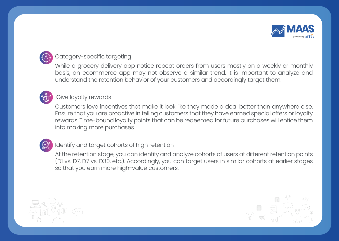

### Category-specific targeting

While a grocery delivery app notice repeat orders from users mostly on a weekly or monthly basis, an ecommerce app may not observe a similar trend. It is important to analyze and understand the retention behavior of your customers and accordingly target them.



#### Give loyalty rewards

Customers love incentives that make it look like they made a deal better than anywhere else. Ensure that you are proactive in telling customers that they have earned special offers or loyalty rewards. Time-bound loyalty points that can be redeemed for future purchases will entice them into making more purchases.



#### Identify and target cohorts of high retention

At the retention stage, you can identify and analyze cohorts of users at different retention points (D1 vs. D7, D7 vs. D30, etc.). Accordingly, you can target users in similar cohorts at earlier stages so that you earn more high-value customers.



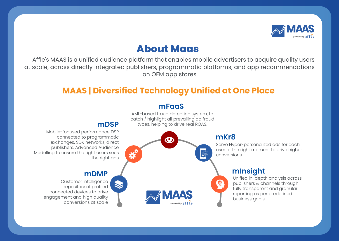

## **About Maas**

 Affle's MAAS is a unified audience platform that enables mobile advertisers to acquire quality users at scale, across directly integrated publishers, programmatic platforms, and app recommendations on OEM app stores

### **MAAS | Diversified Technology Unified at One Place**

#### **mFaaS**

AML-based fraud detection system, to catch / highlight all prevailing ad fraud types, helping to drive real ROAS.

> Serve Hyper-personalized ads for each user at the right moment to drive higher conversions

### **mInsight**

Unified in-depth analysis across publishers & channels through fully transparent and granular reporting as per predefined business goals

### **mDSP**

Mobile-focused performance DSP connected to programmatic exchanges, SDK networks, direct publishers. Advanced Audience Modelling to ensure the right users sees the right ads

### **mDMP**

Customer intelligence repository of profiled connected devices to drive engagement and high quality conversions at scale

**mKr8** 罒 4 powered by aff